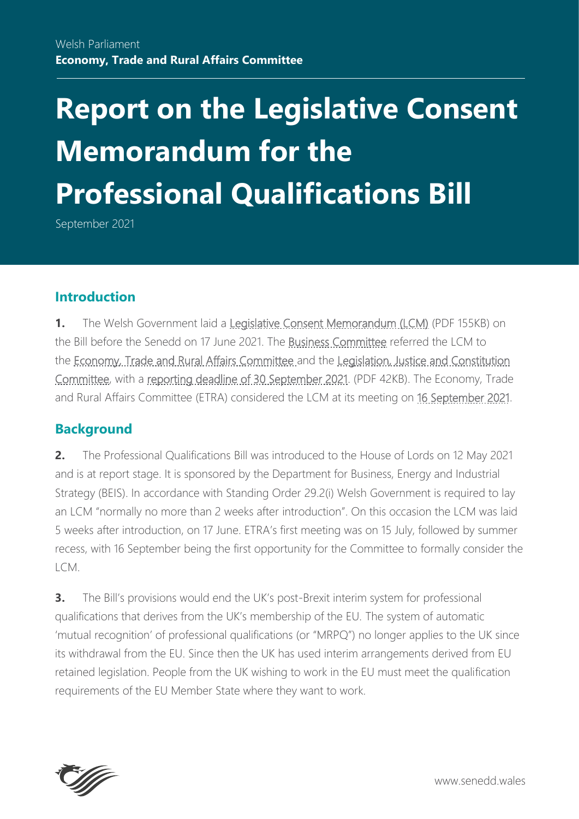# **Report on the Legislative Consent Memorandum for the Professional Qualifications Bill**

September 2021

#### **Introduction**

**1.** The Welsh Government laid a [Legislative Consent Memorandum \(LCM\)](https://senedd.wales/media/h1sk22ip/lcm-ld14384-e.pdf) (PDF 155KB) on the Bill before the Senedd on 17 June 2021. The [Business Committee](https://senedd.wales/committees/business-committee/) referred the LCM to the [Economy, Trade and Rural Affairs Committee a](https://senedd.wales/committees/economy-trade-and-rural-affairs-committee/)nd the [Legislation, Justice and Constitution](https://senedd.wales/committees/legislation-justice-and-constitution-committee/)  [Committee,](https://senedd.wales/committees/legislation-justice-and-constitution-committee/) with a [reporting deadline of 30 September 2021.](https://senedd.wales/media/b1ra5uz4/cr-ld14422-e.pdf) (PDF 42KB). The Economy, Trade and Rural Affairs Committee (ETRA) considered the LCM at its meeting on [16 September 2021.](https://business.senedd.wales/ieListDocuments.aspx?CId=738&MId=12418&Ver=4)

#### **Background**

**2.** The Professional Qualifications Bill was introduced to the House of Lords on 12 May 2021 and is at report stage. It is sponsored by the Department for Business, Energy and Industrial Strategy (BEIS). In accordance with Standing Order 29.2(i) Welsh Government is required to lay an LCM "normally no more than 2 weeks after introduction". On this occasion the LCM was laid 5 weeks after introduction, on 17 June. ETRA's first meeting was on 15 July, followed by summer recess, with 16 September being the first opportunity for the Committee to formally consider the  $ICM$ 

**3.** The Bill's provisions would end the UK's post-Brexit interim system for professional qualifications that derives from the UK's membership of the EU. The system of automatic 'mutual recognition' of professional qualifications (or "MRPQ") no longer applies to the UK since its withdrawal from the EU. Since then the UK has used interim arrangements derived from EU retained legislation. People from the UK wishing to work in the EU must meet the qualification requirements of the EU Member State where they want to work.



www.senedd.wales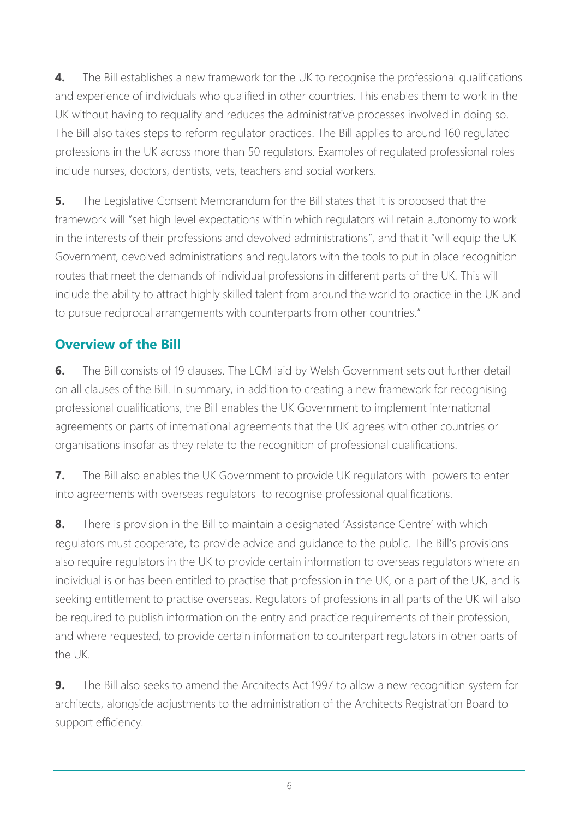**4.** The Bill establishes a new framework for the UK to recognise the professional qualifications and experience of individuals who qualified in other countries. This enables them to work in the UK without having to requalify and reduces the administrative processes involved in doing so. The Bill also takes steps to reform regulator practices. The Bill applies to around 160 regulated professions in the UK across more than 50 regulators. Examples of regulated professional roles include nurses, doctors, dentists, vets, teachers and social workers.

**5.** The Legislative Consent Memorandum for the Bill states that it is proposed that the framework will "set high level expectations within which regulators will retain autonomy to work in the interests of their professions and devolved administrations", and that it "will equip the UK Government, devolved administrations and regulators with the tools to put in place recognition routes that meet the demands of individual professions in different parts of the UK. This will include the ability to attract highly skilled talent from around the world to practice in the UK and to pursue reciprocal arrangements with counterparts from other countries."

## **Overview of the Bill**

**6.** The Bill consists of 19 clauses. The LCM laid by Welsh Government sets out further detail on all clauses of the Bill. In summary, in addition to creating a new framework for recognising professional qualifications, the Bill enables the UK Government to implement international agreements or parts of international agreements that the UK agrees with other countries or organisations insofar as they relate to the recognition of professional qualifications.

**7.** The Bill also enables the UK Government to provide UK regulators with powers to enter into agreements with overseas regulators to recognise professional qualifications.

**8.** There is provision in the Bill to maintain a designated 'Assistance Centre' with which regulators must cooperate, to provide advice and guidance to the public. The Bill's provisions also require regulators in the UK to provide certain information to overseas regulators where an individual is or has been entitled to practise that profession in the UK, or a part of the UK, and is seeking entitlement to practise overseas. Regulators of professions in all parts of the UK will also be required to publish information on the entry and practice requirements of their profession, and where requested, to provide certain information to counterpart regulators in other parts of the UK.

**9.** The Bill also seeks to amend the Architects Act 1997 to allow a new recognition system for architects, alongside adjustments to the administration of the Architects Registration Board to support efficiency.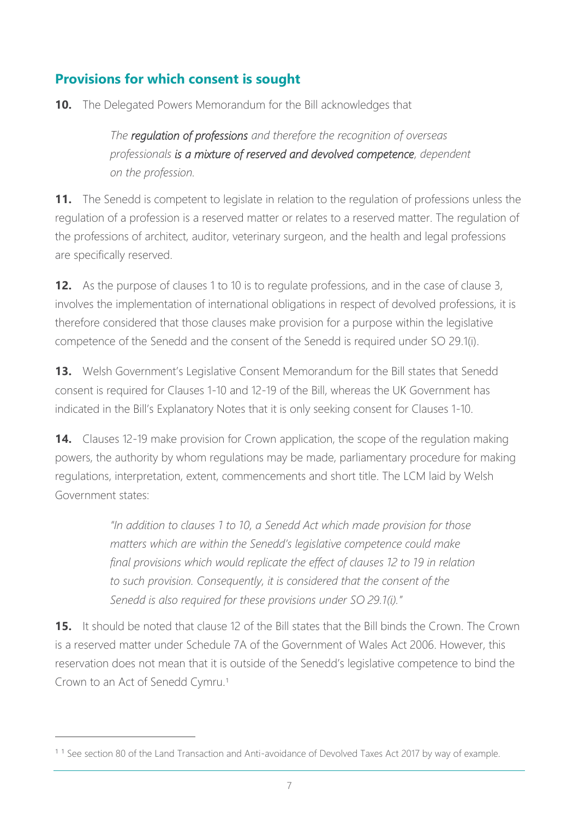# **Provisions for which consent is sought**

**10.** The Delegated Powers Memorandum for the Bill acknowledges that

*The regulation of professions and therefore the recognition of overseas professionals is a mixture of reserved and devolved competence, dependent on the profession.*

**11.** The Senedd is competent to legislate in relation to the regulation of professions unless the regulation of a profession is a reserved matter or relates to a reserved matter. The regulation of the professions of architect, auditor, veterinary surgeon, and the health and legal professions are specifically reserved.

**12.** As the purpose of clauses 1 to 10 is to regulate professions, and in the case of clause 3, involves the implementation of international obligations in respect of devolved professions, it is therefore considered that those clauses make provision for a purpose within the legislative competence of the Senedd and the consent of the Senedd is required under SO 29.1(i).

**13.** Welsh Government's Legislative Consent Memorandum for the Bill states that Senedd consent is required for Clauses 1-10 and 12-19 of the Bill, whereas the UK Government has indicated in the Bill's Explanatory Notes that it is only seeking consent for Clauses 1-10.

**14.** Clauses 12-19 make provision for Crown application, the scope of the regulation making powers, the authority by whom regulations may be made, parliamentary procedure for making regulations, interpretation, extent, commencements and short title. The LCM laid by Welsh Government states:

> *"In addition to clauses 1 to 10, a Senedd Act which made provision for those matters which are within the Senedd's legislative competence could make final provisions which would replicate the effect of clauses 12 to 19 in relation*  to such provision. Consequently, it is considered that the consent of the *Senedd is also required for these provisions under SO 29.1(i)."*

**15.** It should be noted that clause 12 of the Bill states that the Bill binds the Crown. The Crown is a reserved matter under Schedule 7A of the Government of Wales Act 2006. However, this reservation does not mean that it is outside of the Senedd's legislative competence to bind the Crown to an Act of Senedd Cymru.<sup>1</sup>

<sup>&</sup>lt;sup>11</sup> See section 80 of the Land Transaction and Anti-avoidance of Devolved Taxes Act 2017 by way of example.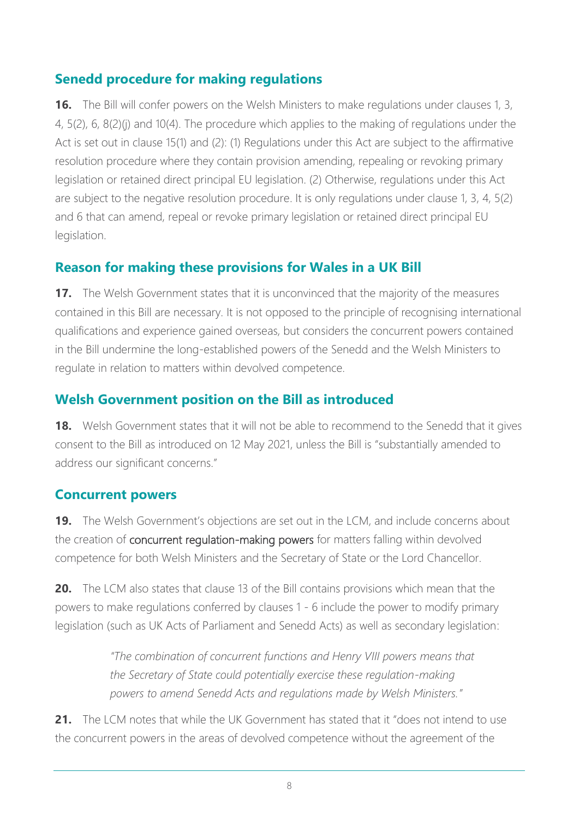## **Senedd procedure for making regulations**

**16.** The Bill will confer powers on the Welsh Ministers to make regulations under clauses 1, 3, 4, 5(2), 6, 8(2)(j) and 10(4). The procedure which applies to the making of regulations under the Act is set out in clause 15(1) and (2): (1) Regulations under this Act are subject to the affirmative resolution procedure where they contain provision amending, repealing or revoking primary legislation or retained direct principal EU legislation. (2) Otherwise, regulations under this Act are subject to the negative resolution procedure. It is only regulations under clause 1, 3, 4, 5(2) and 6 that can amend, repeal or revoke primary legislation or retained direct principal EU legislation.

### **Reason for making these provisions for Wales in a UK Bill**

**17.** The Welsh Government states that it is unconvinced that the majority of the measures contained in this Bill are necessary. It is not opposed to the principle of recognising international qualifications and experience gained overseas, but considers the concurrent powers contained in the Bill undermine the long-established powers of the Senedd and the Welsh Ministers to regulate in relation to matters within devolved competence.

## **Welsh Government position on the Bill as introduced**

**18.** Welsh Government states that it will not be able to recommend to the Senedd that it gives consent to the Bill as introduced on 12 May 2021, unless the Bill is "substantially amended to address our significant concerns."

#### **Concurrent powers**

**19.** The Welsh Government's objections are set out in the LCM, and include concerns about the creation of concurrent regulation-making powers for matters falling within devolved competence for both Welsh Ministers and the Secretary of State or the Lord Chancellor.

**20.** The LCM also states that clause 13 of the Bill contains provisions which mean that the powers to make regulations conferred by clauses 1 - 6 include the power to modify primary legislation (such as UK Acts of Parliament and Senedd Acts) as well as secondary legislation:

> *"The combination of concurrent functions and Henry VIII powers means that the Secretary of State could potentially exercise these regulation-making powers to amend Senedd Acts and regulations made by Welsh Ministers."*

21. The LCM notes that while the UK Government has stated that it "does not intend to use the concurrent powers in the areas of devolved competence without the agreement of the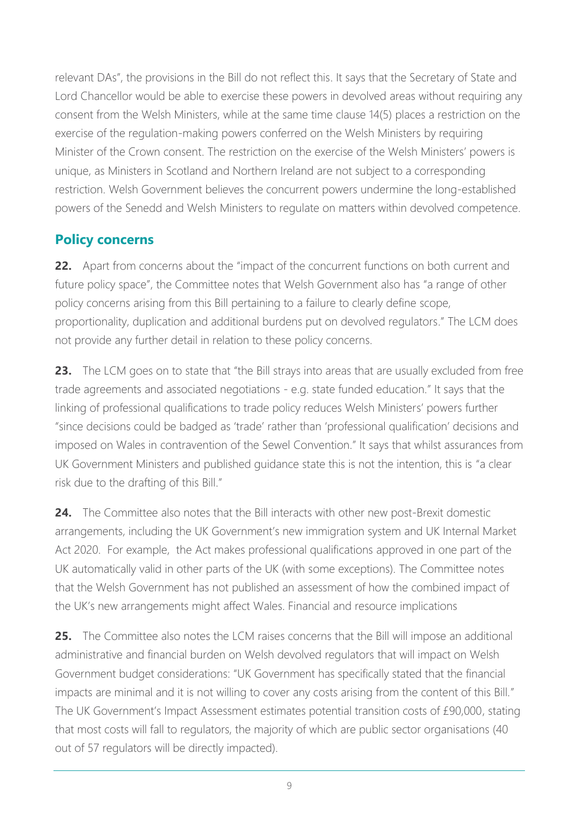relevant DAs", the provisions in the Bill do not reflect this. It says that the Secretary of State and Lord Chancellor would be able to exercise these powers in devolved areas without requiring any consent from the Welsh Ministers, while at the same time clause 14(5) places a restriction on the exercise of the regulation-making powers conferred on the Welsh Ministers by requiring Minister of the Crown consent. The restriction on the exercise of the Welsh Ministers' powers is unique, as Ministers in Scotland and Northern Ireland are not subject to a corresponding restriction. Welsh Government believes the concurrent powers undermine the long-established powers of the Senedd and Welsh Ministers to regulate on matters within devolved competence.

# **Policy concerns**

**22.** Apart from concerns about the "impact of the concurrent functions on both current and future policy space", the Committee notes that Welsh Government also has "a range of other policy concerns arising from this Bill pertaining to a failure to clearly define scope, proportionality, duplication and additional burdens put on devolved regulators." The LCM does not provide any further detail in relation to these policy concerns.

**23.** The LCM goes on to state that "the Bill strays into areas that are usually excluded from free trade agreements and associated negotiations - e.g. state funded education." It says that the linking of professional qualifications to trade policy reduces Welsh Ministers' powers further "since decisions could be badged as 'trade' rather than 'professional qualification' decisions and imposed on Wales in contravention of the Sewel Convention." It says that whilst assurances from UK Government Ministers and published guidance state this is not the intention, this is "a clear risk due to the drafting of this Bill."

**24.** The Committee also notes that the Bill interacts with other new post-Brexit domestic arrangements, including the UK Government's new immigration system and UK Internal Market Act 2020. For example, the Act makes professional qualifications approved in one part of the UK automatically valid in other parts of the UK (with some exceptions). The Committee notes that the Welsh Government has not published an assessment of how the combined impact of the UK's new arrangements might affect Wales. Financial and resource implications

**25.** The Committee also notes the LCM raises concerns that the Bill will impose an additional administrative and financial burden on Welsh devolved regulators that will impact on Welsh Government budget considerations: "UK Government has specifically stated that the financial impacts are minimal and it is not willing to cover any costs arising from the content of this Bill." The UK Government's Impact Assessment estimates potential transition costs of £90,000, stating that most costs will fall to regulators, the majority of which are public sector organisations (40 out of 57 regulators will be directly impacted).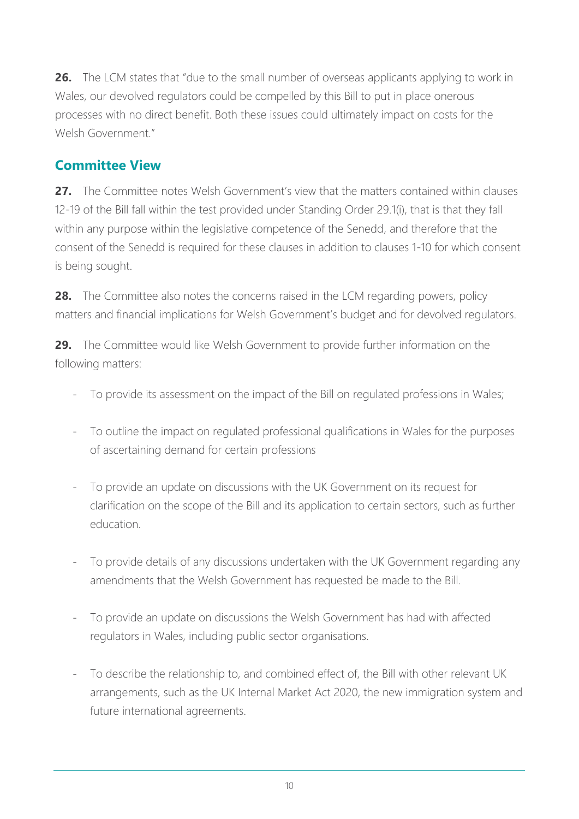**26.** The LCM states that "due to the small number of overseas applicants applying to work in Wales, our devolved regulators could be compelled by this Bill to put in place onerous processes with no direct benefit. Both these issues could ultimately impact on costs for the Welsh Government"

### **Committee View**

27. The Committee notes Welsh Government's view that the matters contained within clauses 12-19 of the Bill fall within the test provided under Standing Order 29.1(i), that is that they fall within any purpose within the legislative competence of the Senedd, and therefore that the consent of the Senedd is required for these clauses in addition to clauses 1-10 for which consent is being sought.

**28.** The Committee also notes the concerns raised in the LCM regarding powers, policy matters and financial implications for Welsh Government's budget and for devolved regulators.

**29.** The Committee would like Welsh Government to provide further information on the following matters:

- To provide its assessment on the impact of the Bill on regulated professions in Wales;
- To outline the impact on regulated professional qualifications in Wales for the purposes of ascertaining demand for certain professions
- To provide an update on discussions with the UK Government on its request for clarification on the scope of the Bill and its application to certain sectors, such as further education.
- To provide details of any discussions undertaken with the UK Government regarding any amendments that the Welsh Government has requested be made to the Bill.
- To provide an update on discussions the Welsh Government has had with affected regulators in Wales, including public sector organisations.
- To describe the relationship to, and combined effect of, the Bill with other relevant UK arrangements, such as the UK Internal Market Act 2020, the new immigration system and future international agreements.